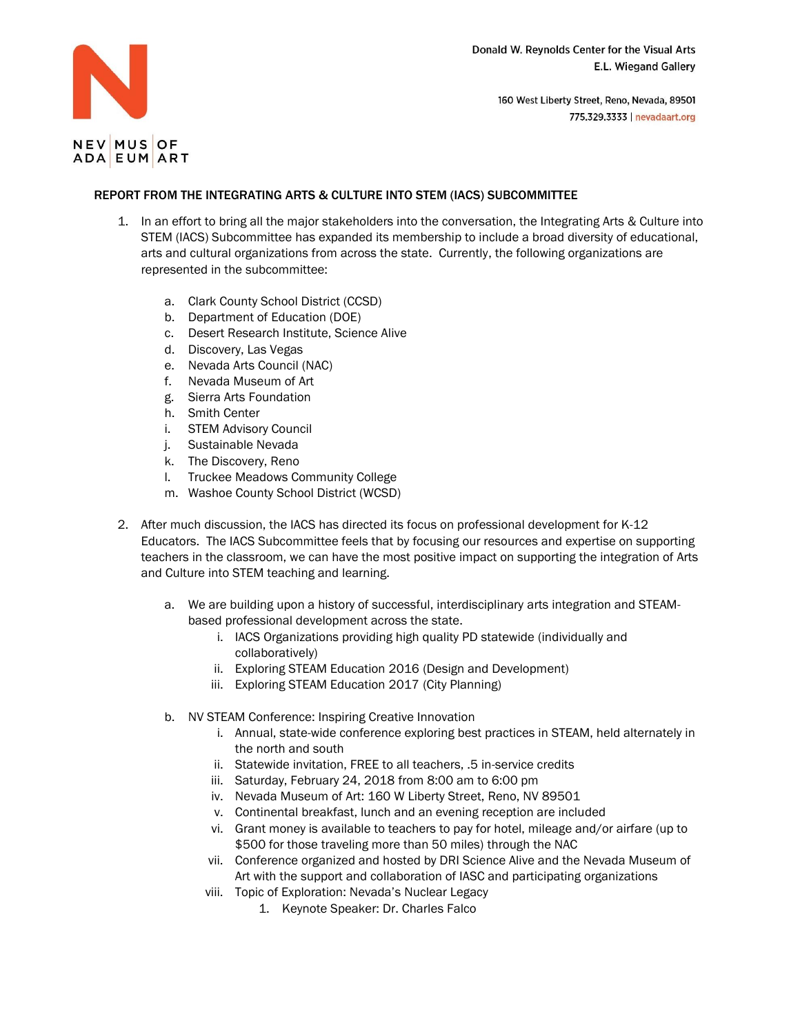

## **NEV**MUSOF ADA EUM ART

## REPORT FROM THE INTEGRATING ARTS & CULTURE INTO STEM (IACS) SUBCOMMITTEE

- 1. In an effort to bring all the major stakeholders into the conversation, the Integrating Arts & Culture into STEM (IACS) Subcommittee has expanded its membership to include a broad diversity of educational, arts and cultural organizations from across the state. Currently, the following organizations are represented in the subcommittee:
	- a. Clark County School District (CCSD)
	- b. Department of Education (DOE)
	- c. Desert Research Institute, Science Alive
	- d. Discovery, Las Vegas
	- e. Nevada Arts Council (NAC)
	- f. Nevada Museum of Art
	- g. Sierra Arts Foundation
	- h. Smith Center
	- i. STEM Advisory Council
	- j. Sustainable Nevada
	- k. The Discovery, Reno
	- l. Truckee Meadows Community College
	- m. Washoe County School District (WCSD)
- 2. After much discussion, the IACS has directed its focus on professional development for K-12 Educators. The IACS Subcommittee feels that by focusing our resources and expertise on supporting teachers in the classroom, we can have the most positive impact on supporting the integration of Arts and Culture into STEM teaching and learning.
	- a. We are building upon a history of successful, interdisciplinary arts integration and STEAMbased professional development across the state.
		- i. IACS Organizations providing high quality PD statewide (individually and collaboratively)
		- ii. Exploring STEAM Education 2016 (Design and Development)
		- iii. Exploring STEAM Education 2017 (City Planning)
	- b. NV STEAM Conference: Inspiring Creative Innovation
		- i. Annual, state-wide conference exploring best practices in STEAM, held alternately in the north and south
		- ii. Statewide invitation, FREE to all teachers, .5 in-service credits
		- iii. Saturday, February 24, 2018 from 8:00 am to 6:00 pm
		- iv. Nevada Museum of Art: 160 W Liberty Street, Reno, NV 89501
		- v. Continental breakfast, lunch and an evening reception are included
		- vi. Grant money is available to teachers to pay for hotel, mileage and/or airfare (up to \$500 for those traveling more than 50 miles) through the NAC
		- vii. Conference organized and hosted by DRI Science Alive and the Nevada Museum of Art with the support and collaboration of IASC and participating organizations
		- viii. Topic of Exploration: Nevada's Nuclear Legacy
			- 1. Keynote Speaker: Dr. Charles Falco